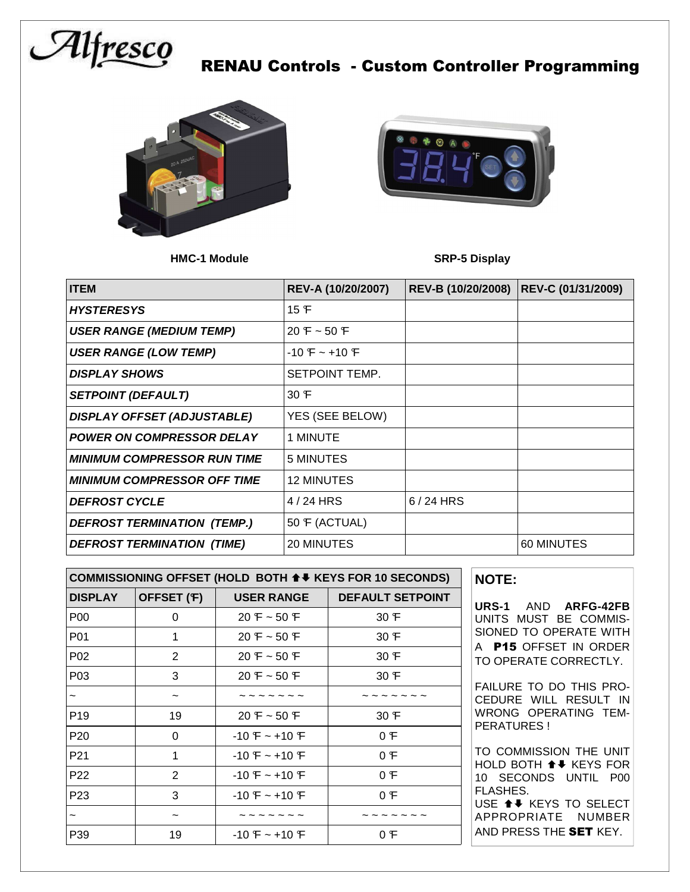

### RENAU Controls - Custom Controller Programming





**HMC-1 Module SRP-5 Display** 

| <b>ITEM</b>                        | REV-A (10/20/2007) | REV-B (10/20/2008) | REV-C (01/31/2009) |
|------------------------------------|--------------------|--------------------|--------------------|
| <b>HYSTERESYS</b>                  | 15 F               |                    |                    |
| <b>USER RANGE (MEDIUM TEMP)</b>    | $20 F - 50 F$      |                    |                    |
| <b>USER RANGE (LOW TEMP)</b>       | $-10F - 10F$       |                    |                    |
| <b>DISPLAY SHOWS</b>               | SETPOINT TEMP.     |                    |                    |
| <b>SETPOINT (DEFAULT)</b>          | 30 F               |                    |                    |
| <b>DISPLAY OFFSET (ADJUSTABLE)</b> | YES (SEE BELOW)    |                    |                    |
| <b>POWER ON COMPRESSOR DELAY</b>   | 1 MINUTE           |                    |                    |
| <b>MINIMUM COMPRESSOR RUN TIME</b> | 5 MINUTES          |                    |                    |
| <b>MINIMUM COMPRESSOR OFF TIME</b> | 12 MINUTES         |                    |                    |
| <b>DEFROST CYCLE</b>               | 4/24 HRS           | $6/24$ HRS         |                    |
| <b>DEFROST TERMINATION (TEMP.)</b> | 50 F (ACTUAL)      |                    |                    |
| <b>DEFROST TERMINATION (TIME)</b>  | 20 MINUTES         |                    | 60 MINUTES         |

| COMMISSIONING OFFSET (HOLD BOTH ↑ ♦ KEYS FOR 10 SECONDS) |            |                   |                         |  |  |
|----------------------------------------------------------|------------|-------------------|-------------------------|--|--|
| <b>DISPLAY</b>                                           | OFFSET (F) | <b>USER RANGE</b> | <b>DEFAULT SETPOINT</b> |  |  |
| P <sub>00</sub>                                          | 0          | $20 F - 50 F$     | 30 F                    |  |  |
| P01                                                      | 1          | $20 F - 50 F$     | 30 F                    |  |  |
| P <sub>02</sub>                                          | 2          | $20 F - 50 F$     | 30 F                    |  |  |
| P <sub>0</sub> 3                                         | 3          | $20 F - 50 F$     | 30 F                    |  |  |
| $\tilde{}$                                               | ∼          |                   |                         |  |  |
| P <sub>19</sub>                                          | 19         | $20 F - 50 F$     | 30 F                    |  |  |
| P <sub>20</sub>                                          | 0          | $-10F - 10F$      | 0 F                     |  |  |
| P <sub>21</sub>                                          | 1          | $-10F - 10F$      | 0F                      |  |  |
| P <sub>22</sub>                                          | 2          | $-10F - 10F$      | 0F                      |  |  |
| P <sub>23</sub>                                          | 3          | $-10F - 10F$      | 0 F                     |  |  |
|                                                          |            |                   |                         |  |  |
| P39                                                      | 19         | $-10F - 10F$      | 0 F                     |  |  |

| <b>NOTE:</b> |                     |
|--------------|---------------------|
|              | URS-1 AND ARFG-42FB |

UNITS MUST BE COMMIS-SIONED TO OPERATE WITH A P15 OFFSET IN ORDER TO OPERATE CORRECTLY.

FAILURE TO DO THIS PRO-CEDURE WILL RESULT IN WRONG OPERATING TEM-PERATURES !

TO COMMISSION THE UNIT HOLD BOTH ↑↓ KEYS FOR 10 SECONDS UNTIL P00 FLASHES.

USE  $\triangleq$  KEYS TO SELECT APPROPRIATE NUMBER AND PRESS THE SET KEY.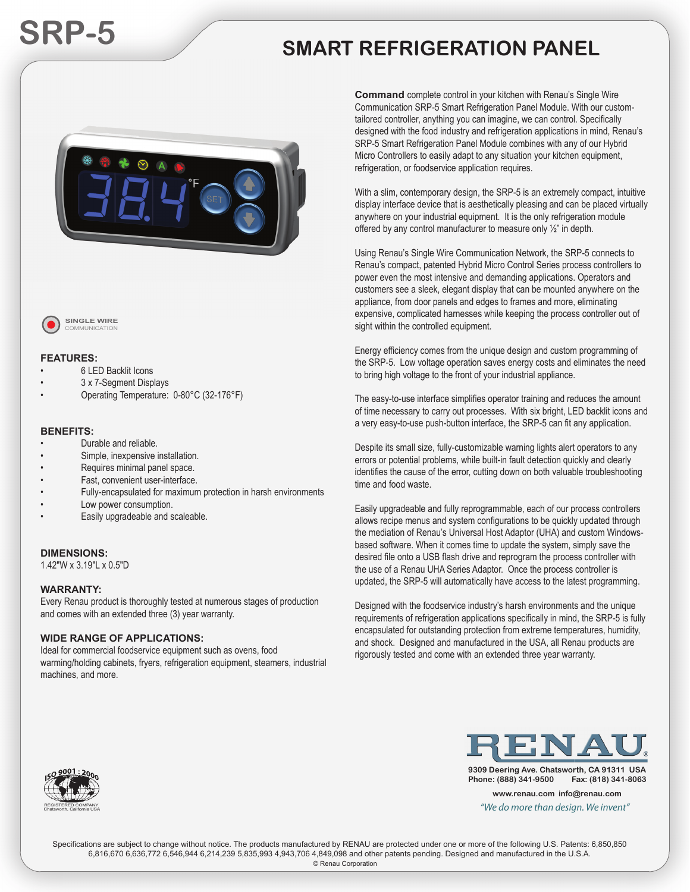# **SRP-5 SMART REFRIGERATION PANEL**





**SINGLE WIRE** COMMUNICATION

#### **FEATURES:**

- 6 LED Backlit Icons
- 3 x 7-Segment Displays
- Operating Temperature: 0-80°C (32-176°F)

#### **BENEFITS:**

- Durable and reliable.
- Simple, inexpensive installation.
- Requires minimal panel space.
- Fast, convenient user-interface.
- Fully-encapsulated for maximum protection in harsh environments
- Low power consumption.
- Easily upgradeable and scaleable.

#### **DIMENSIONS:**

1.42"W x 3.19"L x 0.5"D

#### **WARRANTY:**

Every Renau product is thoroughly tested at numerous stages of production and comes with an extended three (3) year warranty.

#### **WIDE RANGE OF APPLICATIONS:**

Ideal for commercial foodservice equipment such as ovens, food warming/holding cabinets, fryers, refrigeration equipment, steamers, industrial machines, and more.

**Command** complete control in your kitchen with Renau's Single Wire **C** Communication SRP-5 Smart Refrigeration Panel Module. With our custom-C tailored controller, anything you can imagine, we can control. Specifically ta designed with the food industry and refrigeration applications in mind, Renau's de SRP-5 Smart Refrigeration Panel Module combines with any of our Hybrid SR Micro Controllers to easily adapt to any situation your kitchen equipment, M refrigeration, or foodservice application requires. re

With a slim, contemporary design, the SRP-5 is an extremely compact, intuitive W display interface device that is aesthetically pleasing and can be placed virtually di anywhere on your industrial equipment. It is the only refrigeration module an offered by any control manufacturer to measure only 1/2" in depth.

Using Renau's Single Wire Communication Network, the SRP-5 connects to U Renau's compact, patented Hybrid Micro Control Series process controllers to R power even the most intensive and demanding applications. Operators and po customers see a sleek, elegant display that can be mounted anywhere on the cu appliance, from door panels and edges to frames and more, eliminating ap expensive, complicated harnesses while keeping the process controller out of sight within the controlled equipment.

Energy efficiency comes from the unique design and custom programming of the SRP-5. Low voltage operation saves energy costs and eliminates the need to bring high voltage to the front of your industrial appliance.

The easy-to-use interface simplifies operator training and reduces the amount of time necessary to carry out processes. With six bright, LED backlit icons and a very easy-to-use push-button interface, the SRP-5 can fit any application.

Despite its small size, fully-customizable warning lights alert operators to any errors or potential problems, while built-in fault detection quickly and clearly identifies the cause of the error, cutting down on both valuable troubleshooting time and food waste.

Easily upgradeable and fully reprogrammable, each of our process controllers allows recipe menus and system configurations to be quickly updated through the mediation of Renau's Universal Host Adaptor (UHA) and custom Windowsbased software. When it comes time to update the system, simply save the desired file onto a USB flash drive and reprogram the process controller with the use of a Renau UHA Series Adaptor. Once the process controller is updated, the SRP-5 will automatically have access to the latest programming.

Designed with the foodservice industry's harsh environments and the unique requirements of refrigeration applications specifically in mind, the SRP-5 is fully encapsulated for outstanding protection from extreme temperatures, humidity, and shock. Designed and manufactured in the USA, all Renau products are rigorously tested and come with an extended three year warranty.



**9309 Deering Ave. Chatsworth, CA 91311 USA Phone: (888) 341-9500 Fax: (818) 341-8063**

**www.renau.com info@renau.com** *"We do more than design. We invent"*



Specifications are subject to change without notice. The products manufactured by RENAU are protected under one or more of the following U.S. Patents: 6,850,850 6,816,670 6,636,772 6,546,944 6,214,239 5,835,993 4,943,706 4,849,098 and other patents pending. Designed and manufactured in the U.S.A.

© Renau Corporation